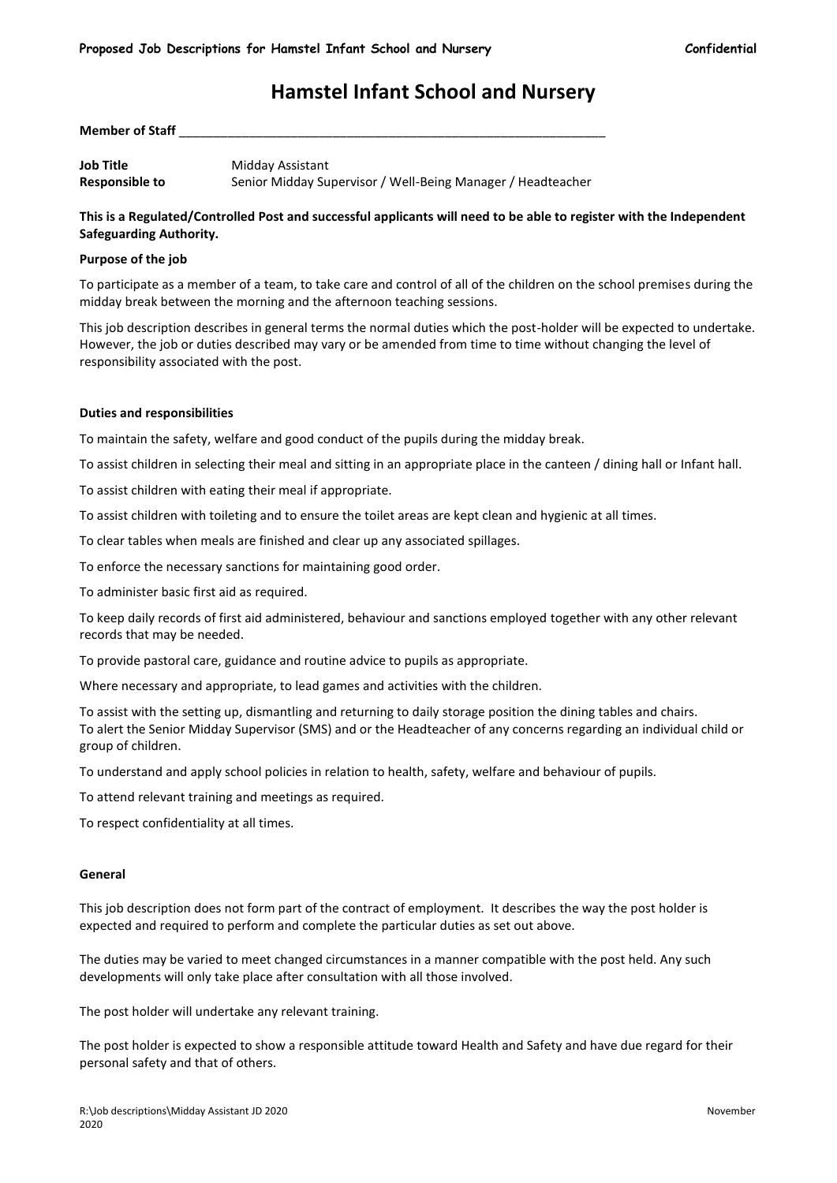# **Hamstel Infant School and Nursery**

**Member of Staff** \_\_\_\_\_\_\_\_\_\_\_\_\_\_\_\_\_\_\_\_\_\_\_\_\_\_\_\_\_\_\_\_\_\_\_\_\_\_\_\_\_\_\_\_\_\_\_\_\_\_\_\_\_\_\_\_\_\_\_\_\_ **Job Title** Midday Assistant

**Responsible to** Senior Midday Supervisor / Well-Being Manager / Headteacher

## **This is a Regulated/Controlled Post and successful applicants will need to be able to register with the Independent Safeguarding Authority.**

#### **Purpose of the job**

To participate as a member of a team, to take care and control of all of the children on the school premises during the midday break between the morning and the afternoon teaching sessions.

This job description describes in general terms the normal duties which the post-holder will be expected to undertake. However, the job or duties described may vary or be amended from time to time without changing the level of responsibility associated with the post.

#### **Duties and responsibilities**

To maintain the safety, welfare and good conduct of the pupils during the midday break.

To assist children in selecting their meal and sitting in an appropriate place in the canteen / dining hall or Infant hall.

To assist children with eating their meal if appropriate.

To assist children with toileting and to ensure the toilet areas are kept clean and hygienic at all times.

To clear tables when meals are finished and clear up any associated spillages.

To enforce the necessary sanctions for maintaining good order.

To administer basic first aid as required.

To keep daily records of first aid administered, behaviour and sanctions employed together with any other relevant records that may be needed.

To provide pastoral care, guidance and routine advice to pupils as appropriate.

Where necessary and appropriate, to lead games and activities with the children.

To assist with the setting up, dismantling and returning to daily storage position the dining tables and chairs. To alert the Senior Midday Supervisor (SMS) and or the Headteacher of any concerns regarding an individual child or group of children.

To understand and apply school policies in relation to health, safety, welfare and behaviour of pupils.

To attend relevant training and meetings as required.

To respect confidentiality at all times.

#### **General**

This job description does not form part of the contract of employment. It describes the way the post holder is expected and required to perform and complete the particular duties as set out above.

The duties may be varied to meet changed circumstances in a manner compatible with the post held. Any such developments will only take place after consultation with all those involved.

The post holder will undertake any relevant training.

The post holder is expected to show a responsible attitude toward Health and Safety and have due regard for their personal safety and that of others.